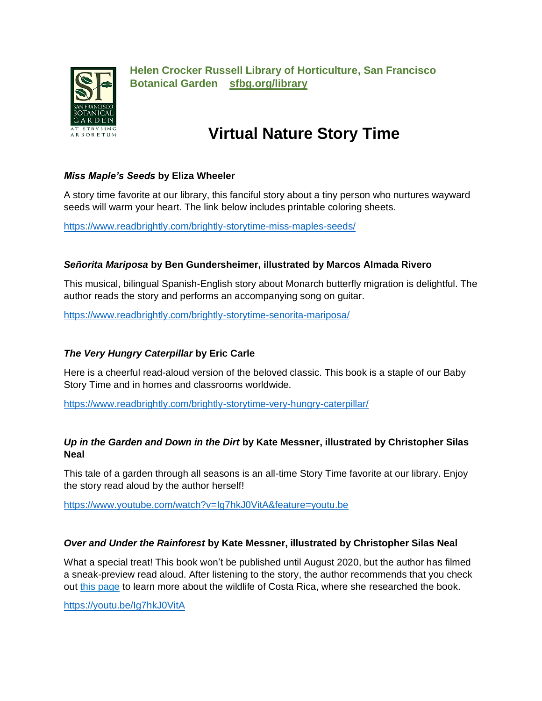

**Helen Crocker Russell Library of Horticulture, San Francisco Botanical Garden [sfbg.org/library](http://www.sfbg.org/library)** 

# **Virtual Nature Story Time**

## *Miss Maple's Seeds* **by Eliza Wheeler**

A story time favorite at our library, this fanciful story about a tiny person who nurtures wayward seeds will warm your heart. The link below includes printable coloring sheets.

<https://www.readbrightly.com/brightly-storytime-miss-maples-seeds/>

# *Señorita Mariposa* **by Ben Gundersheimer, illustrated by Marcos Almada Rivero**

This musical, bilingual Spanish-English story about Monarch butterfly migration is delightful. The author reads the story and performs an accompanying song on guitar.

<https://www.readbrightly.com/brightly-storytime-senorita-mariposa/>

# *The Very Hungry Caterpillar* **by Eric Carle**

Here is a cheerful read-aloud version of the beloved classic. This book is a staple of our Baby Story Time and in homes and classrooms worldwide.

<https://www.readbrightly.com/brightly-storytime-very-hungry-caterpillar/>

## *Up in the Garden and Down in the Dirt* **by Kate Messner, illustrated by Christopher Silas Neal**

This tale of a garden through all seasons is an all-time Story Time favorite at our library. Enjoy the story read aloud by the author herself!

<https://www.youtube.com/watch?v=Ig7hkJ0VitA&feature=youtu.be>

#### *Over and Under the Rainforest* **by Kate Messner, illustrated by Christopher Silas Neal**

What a special treat! This book won't be published until August 2020, but the author has filmed a sneak-preview read aloud. After listening to the story, the author recommends that you check out [this page](https://www.costarica.com/wildlife/) to learn more about the wildlife of Costa Rica, where she researched the book.

<https://youtu.be/Ig7hkJ0VitA>